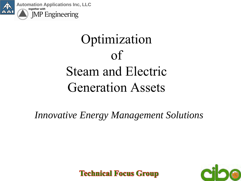

### **Optimization** of Steam and Electric Generation Assets



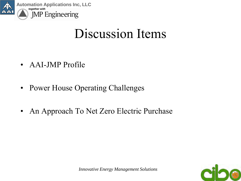

#### Discussion Items

- AAI-JMP Profile
- Power House Operating Challenges
- An Approach To Net Zero Electric Purchase

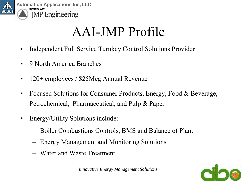

### AAI-JMP Profile

- Independent Full Service Turnkey Control Solutions Provider
- 9 North America Branches
- 120+ employees / \$25Meg Annual Revenue
- Focused Solutions for Consumer Products, Energy, Food & Beverage, Petrochemical, Pharmaceutical, and Pulp & Paper
- Energy/Utility Solutions include:
	- Boiler Combustions Controls, BMS and Balance of Plant
	- Energy Management and Monitoring Solutions
	- Water and Waste Treatment

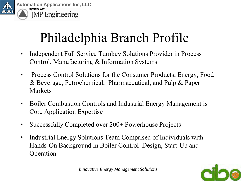

### Philadelphia Branch Profile

- Independent Full Service Turnkey Solutions Provider in Process Control, Manufacturing & Information Systems
- Process Control Solutions for the Consumer Products, Energy, Food & Beverage, Petrochemical, Pharmaceutical, and Pulp & Paper Markets
- Boiler Combustion Controls and Industrial Energy Management is Core Application Expertise
- Successfully Completed over 200+ Powerhouse Projects
- Industrial Energy Solutions Team Comprised of Individuals with Hands-On Background in Boiler Control Design, Start-Up and Operation



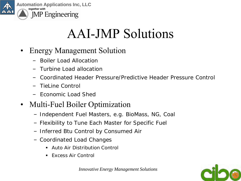

### AAI-JMP Solutions

- Energy Management Solution
	- Boiler Load Allocation
	- Turbine Load allocation
	- Coordinated Header Pressure/Predictive Header Pressure Control
	- TieLine Control
	- Economic Load Shed

#### • Multi-Fuel Boiler Optimization

- Independent Fuel Masters, e.g. BioMass, NG, Coal
- Flexibility to Tune Each Master for Specific Fuel
- Inferred Btu Control by Consumed Air
- Coordinated Load Changes
	- Auto Air Distribution Control
	- **Fxcess Air Control**

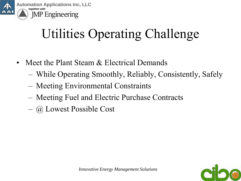

### Utilities Operating Challenge

- Meet the Plant Steam & Electrical Demands
	- While Operating Smoothly, Reliably, Consistently, Safely
	- Meeting Environmental Constraints
	- Meeting Fuel and Electric Purchase Contracts
	- @ Lowest Possible Cost

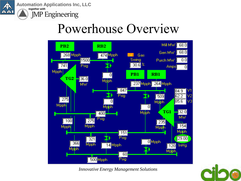

**Automation Applications Inc, LLC** *together with* **JMP** Engineering

#### Powerhouse Overview



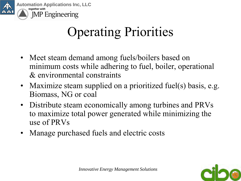

### Operating Priorities

- Meet steam demand among fuels/boilers based on minimum costs while adhering to fuel, boiler, operational & environmental constraints
- Maximize steam supplied on a prioritized fuel(s) basis, e.g. Biomass, NG or coal
- Distribute steam economically among turbines and PRVs to maximize total power generated while minimizing the use of PRVs
- Manage purchased fuels and electric costs

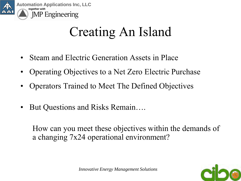

#### Creating An Island

- Steam and Electric Generation Assets in Place
- Operating Objectives to a Net Zero Electric Purchase
- Operators Trained to Meet The Defined Objectives
- But Questions and Risks Remain….

How can you meet these objectives within the demands of a changing 7x24 operational environment?

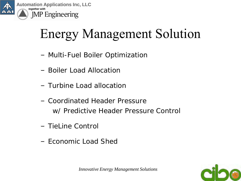

### Energy Management Solution

- Multi-Fuel Boiler Optimization
- Boiler Load Allocation
- Turbine Load allocation
- Coordinated Header Pressure w/ Predictive Header Pressure Control
- TieLine Control
- Economic Load Shed

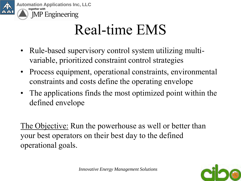

### Real-time EMS

- Rule-based supervisory control system utilizing multivariable, prioritized constraint control strategies
- Process equipment, operational constraints, environmental constraints and costs define the operating envelope
- The applications finds the most optimized point within the defined envelope

The Objective: Run the powerhouse as well or better than your best operators on their best day to the defined operational goals.

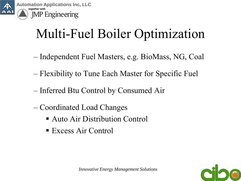

#### Multi-Fuel Boiler Optimization

- Independent Fuel Masters, e.g. BioMass, NG, Coal
- Flexibility to Tune Each Master for Specific Fuel
- Inferred Btu Control by Consumed Air
- Coordinated Load Changes
	- Auto Air Distribution Control
	- Excess Air Control

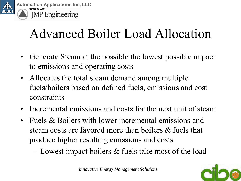

### Advanced Boiler Load Allocation

- Generate Steam at the possible the lowest possible impact to emissions and operating costs
- Allocates the total steam demand among multiple fuels/boilers based on defined fuels, emissions and cost constraints
- Incremental emissions and costs for the next unit of steam
- Fuels & Boilers with lower incremental emissions and steam costs are favored more than boilers & fuels that produce higher resulting emissions and costs
	- Lowest impact boilers & fuels take most of the load



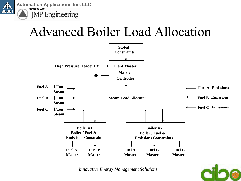

#### Advanced Boiler Load Allocation



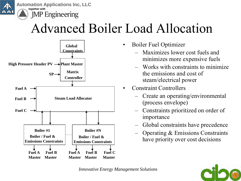

#### Advanced Boiler Load Allocation



- Boiler Fuel Optimizer
	- Maximizes lower cost fuels and minimizes more expensive fuels
	- Works with constraints to minimize the emissions and cost of steam/electrical power
- Constraint Controllers
	- Create an operating/environmental (process envelope)
	- Constraints prioritized on order of importance
	- Global constraints have precedence
	- Operating & Emissions Constraints have priority over cost decisions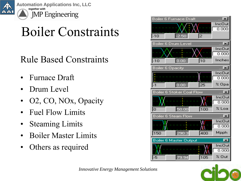

**Automation Applications Inc, LLC** *together with* **JMP** Engineering

### Boiler Constraints

#### Rule Based Constraints

- Furnace Draft
- Drum Level
- O2, CO, NOx, Opacity
- Fuel Flow Limits
- Steaming Limits
- Boiler Master Limits
- Others as required





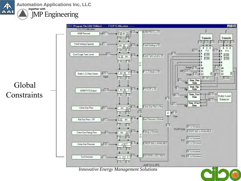

Global

**Constraints** 

**Automation Applications Inc, LLC** *together with* **JMP Engineering** 

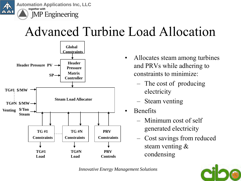

#### Advanced Turbine Load Allocation



- Allocates steam among turbines and PRVs while adhering to constraints to minimize:
	- The cost of producing electricity
	- Steam venting
- **Benefits** 
	- Minimum cost of self generated electricity
	- Cost savings from reduced steam venting & condensing

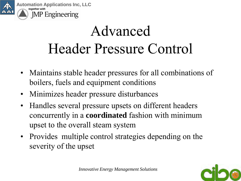

## Advanced Header Pressure Control

- Maintains stable header pressures for all combinations of boilers, fuels and equipment conditions
- Minimizes header pressure disturbances
- Handles several pressure upsets on different headers concurrently in a **coordinated** fashion with minimum upset to the overall steam system
- Provides multiple control strategies depending on the severity of the upset

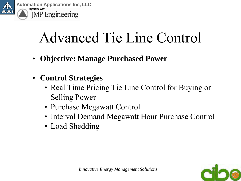

- **Objective: Manage Purchased Power**
- **Control Strategies**
	- Real Time Pricing Tie Line Control for Buying or Selling Power
	- Purchase Megawatt Control
	- Interval Demand Megawatt Hour Purchase Control
	- Load Shedding

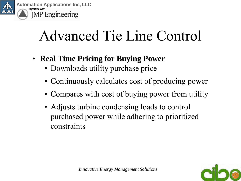

- **Real Time Pricing for Buying Power**
	- Downloads utility purchase price
	- Continuously calculates cost of producing power
	- Compares with cost of buying power from utility
	- Adjusts turbine condensing loads to control purchased power while adhering to prioritized constraints

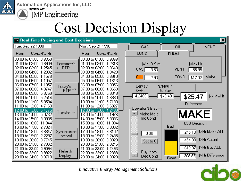

**Automation Applications Inc, LLC** *together with* **JMP** Engineering

### Cost Decision Display



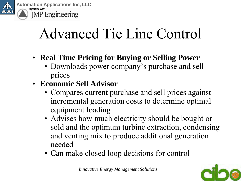

- **Real Time Pricing for Buying or Selling Power**
	- Downloads power company's purchase and sell prices
- **Economic Sell Advisor** 
	- Compares current purchase and sell prices against incremental generation costs to determine optimal equipment loading
	- Advises how much electricity should be bought or sold and the optimum turbine extraction, condensing and venting mix to produce additional generation needed
	- Can make closed loop decisions for control

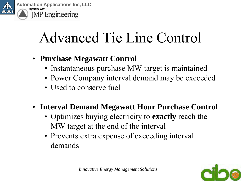

- **Purchase Megawatt Control**
	- Instantaneous purchase MW target is maintained
	- Power Company interval demand may be exceeded
	- Used to conserve fuel
- **Interval Demand Megawatt Hour Purchase Control**
	- Optimizes buying electricity to **exactly** reach the MW target at the end of the interval
	- Prevents extra expense of exceeding interval demands

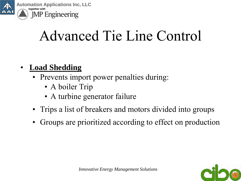

- **Load Shedding**
	- Prevents import power penalties during:
		- A boiler Trip
		- A turbine generator failure
	- Trips a list of breakers and motors divided into groups
	- Groups are prioritized according to effect on production

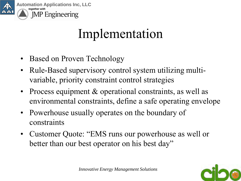

#### Implementation

- Based on Proven Technology
- Rule-Based supervisory control system utilizing multivariable, priority constraint control strategies
- Process equipment & operational constraints, as well as environmental constraints, define a safe operating envelope
- Powerhouse usually operates on the boundary of constraints
- Customer Quote: "EMS runs our powerhouse as well or better than our best operator on his best day"

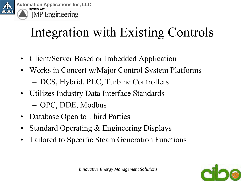

#### Integration with Existing Controls

- Client/Server Based or Imbedded Application
- Works in Concert w/Major Control System Platforms – DCS, Hybrid, PLC, Turbine Controllers
- Utilizes Industry Data Interface Standards – OPC, DDE, Modbus
- Database Open to Third Parties
- Standard Operating & Engineering Displays
- Tailored to Specific Steam Generation Functions

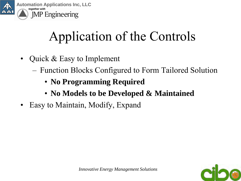

### Application of the Controls

- Quick & Easy to Implement
	- Function Blocks Configured to Form Tailored Solution
		- **No Programming Required**
		- **No Models to be Developed & Maintained**
- Easy to Maintain, Modify, Expand

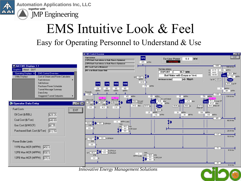

**Automation Applications Inc, LLC** *together with* **JMP** Engineering

# EMS Intuitive Look & Feel

Easy for Operating Personnel to Understand & Use

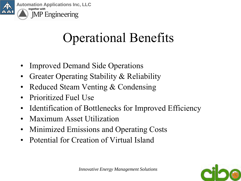

### Operational Benefits

- Improved Demand Side Operations
- Greater Operating Stability & Reliability
- Reduced Steam Venting & Condensing
- Prioritized Fuel Use
- Identification of Bottlenecks for Improved Efficiency
- Maximum Asset Utilization
- Minimized Emissions and Operating Costs
- Potential for Creation of Virtual Island

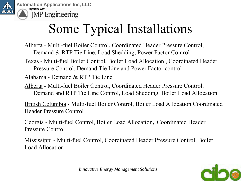

### Some Typical Installations

Alberta - Multi-fuel Boiler Control, Coordinated Header Pressure Control, Demand & RTP Tie Line, Load Shedding, Power Factor Control

Texas - Multi-fuel Boiler Control, Boiler Load Allocation , Coordinated Header Pressure Control, Demand Tie Line and Power Factor control

Alabama - Demand & RTP Tie Line

Alberta - Multi-fuel Boiler Control, Coordinated Header Pressure Control, Demand and RTP Tie Line Control, Load Shedding, Boiler Load Allocation

British Columbia - Multi-fuel Boiler Control, Boiler Load Allocation Coordinated Header Pressure Control

Georgia - Multi-fuel Control, Boiler Load Allocation, Coordinated Header Pressure Control

Mississippi - Multi-fuel Control, Coordinated Header Pressure Control, Boiler Load Allocation